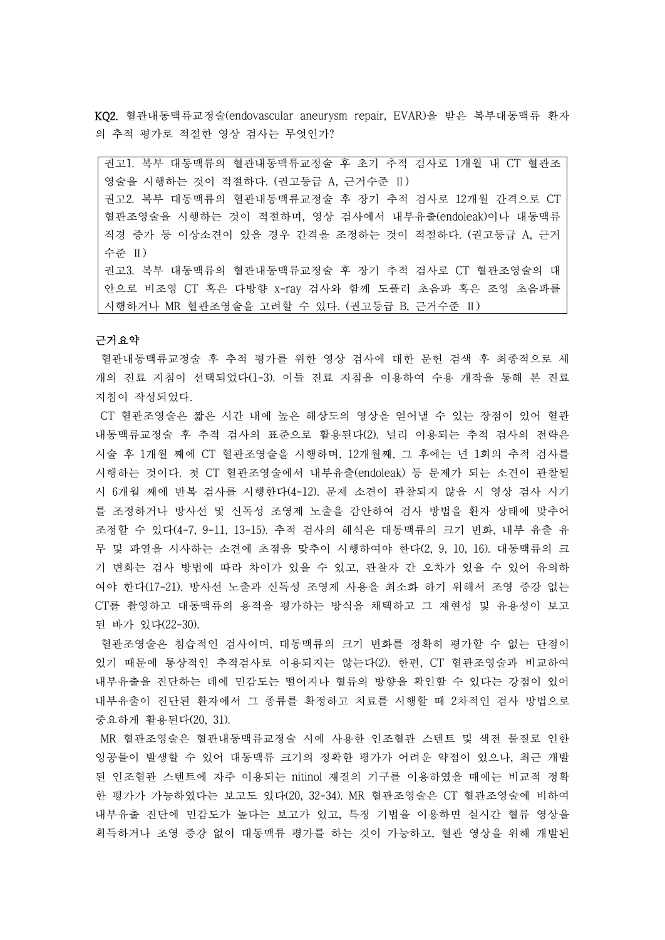KQ2. 혈관내동맥류교정술(endovascular aneurysm repair, EVAR)을 받은 복부대동맥류 환자 의 추적 평가로 적절한 영상 검사는 무엇인가?

권고1. 복부 대동맥류의 혈관내동맥류교정술 후 초기 추적 검사로 1개월 내 CT 혈관조 영술을 시행하는 것이 적절하다. (권고등급 A, 근거수준 Ⅱ) 권고2. 복부 대동맥류의 혈관내동맥류교정술 후 장기 추적 검사로 12개월 간격으로 CT 혈관조영술을 시행하는 것이 적절하며, 영상 검사에서 내부유출(endoleak)이나 대동맥류 직경 증가 등 이상소견이 있을 경우 간격을 조정하는 것이 적절하다. (권고등급 A, 근거 수준 Ⅱ) 권고3. 복부 대동맥류의 혈관내동맥류교정술 후 장기 추적 검사로 CT 혈관조영술의 대

안으로 비조영 CT 혹은 다방향 x-ray 검사와 함께 도플러 초음파 혹은 조영 초음파를 시행하거나 MR 혈관조영술을 고려할 수 있다. (권고등급 B, 근거수준 Ⅱ)

## 근거요약

혈관내동맥류교정술 후 추적 평가를 위한 영상 검사에 대한 문헌 검색 후 최종적으로 세 개의 진료 지침이 선택되었다(1-3). 이들 진료 지침을 이용하여 수용 개작을 통해 본 진료 지침이 작성되었다.

CT 혈관조영술은 짧은 시간 내에 높은 해상도의 영상을 얻어낼 수 있는 장점이 있어 혈관 내동맥류교정술 후 추적 검사의 표준으로 활용된다(2). 널리 이용되는 추적 검사의 전략은 시술 후 1개월 째에 CT 혈관조영술을 시행하며, 12개월째, 그 후에는 년 1회의 추적 검사를 시행하는 것이다. 첫 CT 혈관조영술에서 내부유출(endoleak) 등 문제가 되는 소견이 관찰될 시 6개월 째에 반복 검사를 시행한다(4-12). 문제 소견이 관찰되지 않을 시 영상 검사 시기 를 조정하거나 방사선 및 신독성 조영제 노출을 감안하여 검사 방법을 환자 상태에 맞추어 조정할 수 있다(4-7, 9-11, 13-15). 추적 검사의 해석은 대동맥류의 크기 변화, 내부 유출 유 무 및 파열을 시사하는 소견에 초점을 맞추어 시행하여야 한다(2, 9, 10, 16). 대동맥류의 크 기 변화는 검사 방법에 따라 차이가 있을 수 있고, 관찰자 간 오차가 있을 수 있어 유의하 여야 한다(17-21). 방사선 노출과 신독성 조영제 사용을 최소화 하기 위해서 조영 증강 없는 CT를 촬영하고 대동맥류의 용적을 평가하는 방식을 채택하고 그 재현성 및 유용성이 보고 된 바가 있다(22-30).

혈관조영술은 침습적인 검사이며, 대동맥류의 크기 변화를 정확히 평가할 수 없는 단점이 있기 때문에 통상적인 추적검사로 이용되지는 않는다(2). 한편, CT 혈관조영술과 비교하여 내부유출을 진단하는 데에 민감도는 떨어지나 혈류의 방향을 확인할 수 있다는 강점이 있어 내부유출이 진단된 환자에서 그 종류를 확정하고 치료를 시행할 때 2차적인 검사 방법으로 중요하게 활용된다(20, 31).

MR 혈관조영술은 혈관내동맥류교정술 시에 사용한 인조혈관 스텐트 및 색전 물질로 인한 잉공물이 발생할 수 있어 대동맥류 크기의 정확한 평가가 어려운 약점이 있으나, 최근 개발 된 인조혈관 스텐트에 자주 이용되는 nitinol 재질의 기구를 이용하였을 때에는 비교적 정확 한 평가가 가능하였다는 보고도 있다(20, 32-34). MR 혈관조영술은 CT 혈관조영술에 비하여 내부유출 진단에 민감도가 높다는 보고가 있고, 특정 기법을 이용하면 실시간 혈류 영상을 획득하거나 조영 증강 없이 대동맥류 평가를 하는 것이 가능하고, 혈관 영상을 위해 개발된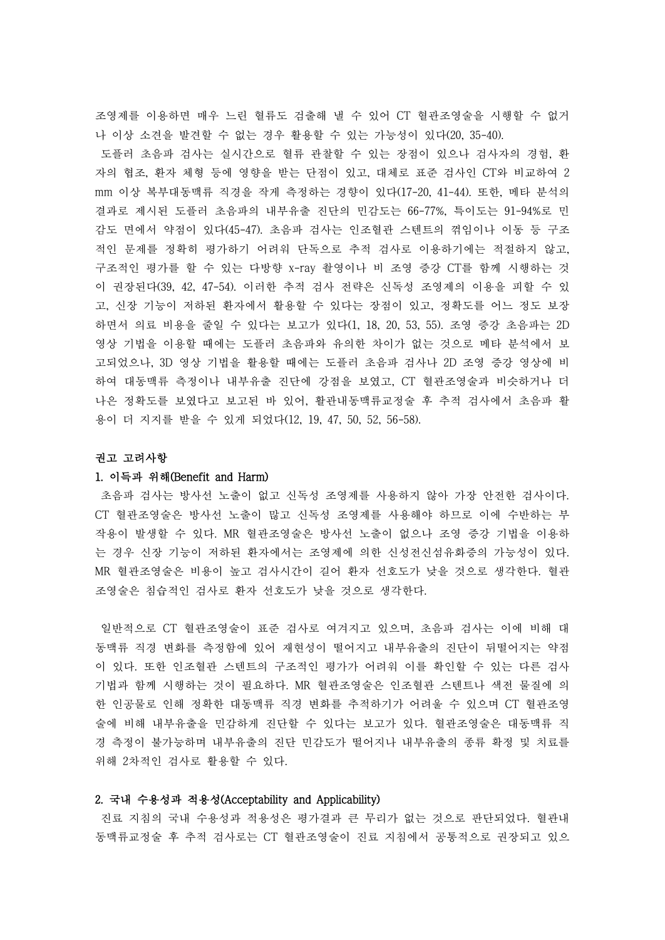조영제를 이용하면 매우 느린 혈류도 검출해 낼 수 있어 CT 혈관조영술을 시행할 수 없거 나 이상 소견을 발견할 수 없는 경우 활용할 수 있는 가능성이 있다(20, 35-40).

도플러 초음파 검사는 실시간으로 혈류 관찰할 수 있는 장점이 있으나 검사자의 경험, 환 자의 협조, 환자 체형 등에 영향을 받는 단점이 있고, 대체로 표준 검사인 CT와 비교하여 2 mm 이상 복부대동맥류 직경을 작게 측정하는 경향이 있다(17-20, 41-44). 또한, 메타 분석의 결과로 제시된 도플러 초음파의 내부유출 진단의 민감도는 66-77%, 특이도는 91-94%로 민 감도 면에서 약점이 있다(45-47). 초음파 검사는 인조혈관 스텐트의 꺾임이나 이동 등 구조 적인 문제를 정확히 평가하기 어려워 단독으로 추적 검사로 이용하기에는 적절하지 않고,<br>구조적인 평가를 할 수 있는 다방향 x-ray 촬영이나 비 조영 증강 CT를 함께 시행하는 것 이 권장된다(39, 42, 47-54). 이러한 추적 검사 전략은 신독성 조영제의 이용을 피할 수 있 고, 신장 기능이 저하된 환자에서 활용할 수 있다는 장점이 있고, 정확도를 어느 정도 보장 하면서 의료 비용을 줄일 수 있다는 보고가 있다(1, 18, 20, 53, 55). 조영 증강 초음파는 2D 영상 기법을 이용할 때에는 도플러 초음파와 유의한 차이가 없는 것으로 메타 분석에서 보 고되었으나, 3D 영상 기법을 활용할 때에는 도플러 초음파 검사나 2D 조영 증강 영상에 비 하여 대동맥류 측정이나 내부유출 진단에 강점을 보였고, CT 혈관조영술과 비슷하거나 더 나은 정확도를 보였다고 보고된 바 있어, 활관내동맥류교정술 후 추적 검사에서 초음파 활 용이 더 지지를 받을 수 있게 되었다(12, 19, 47, 50, 52, 56-58).

### 권고 고려사항

### 1. 이득과 위해(Benefit and Harm)

초음파 검사는 방사선 노출이 없고 신독성 조영제를 사용하지 않아 가장 안전한 검사이다. CT 혈관조영술은 방사선 노출이 많고 신독성 조영제를 사용해야 하므로 이에 수반하는 부 작용이 발생할 수 있다. MR 혈관조영술은 방사선 노출이 없으나 조영 증강 기법을 이용하 는 경우 신장 기능이 저하된 환자에서는 조영제에 의한 신성전신섬유화증의 가능성이 있다.<br>MR 혈관조영술은 비용이 높고 검사시간이 길어 환자 선호도가 낮을 것으로 생각한다. 혈관 조영술은 침습적인 검사로 환자 선호도가 낮을 것으로 생각한다.

일반적으로 CT 혈관조영술이 표준 검사로 여겨지고 있으며, 초음파 검사는 이에 비해 대 동맥류 직경 변화를 측정함에 있어 재현성이 떨어지고 내부유출의 진단이 뒤떨어지는 약점 이 있다. 또한 인조혈관 스텐트의 구조적인 평가가 어려워 이를 확인할 수 있는 다른 검사 기법과 함께 시행하는 것이 필요하다. MR 혈관조영술은 인조혈관 스텐트나 색전 물질에 의 한 인공물로 인해 정확한 대동맥류 직경 변화를 추적하기가 어려울 수 있으며 CT 혈관조영 술에 비해 내부유출을 민감하게 진단할 수 있다는 보고가 있다. 혈관조영술은 대동맥류 직 경 측정이 불가능하며 내부유출의 진단 민감도가 떨어지나 내부유출의 종류 확정 및 치료를 위해 2차적인 검사로 활용할 수 있다.

#### 2. 국내 수용성과 적용성(Acceptability and Applicability)

진료 지침의 국내 수용성과 적용성은 평가결과 큰 무리가 없는 것으로 판단되었다. 혈관내 동맥류교정술 후 추적 검사로는 CT 혈관조영술이 진료 지침에서 공통적으로 권장되고 있으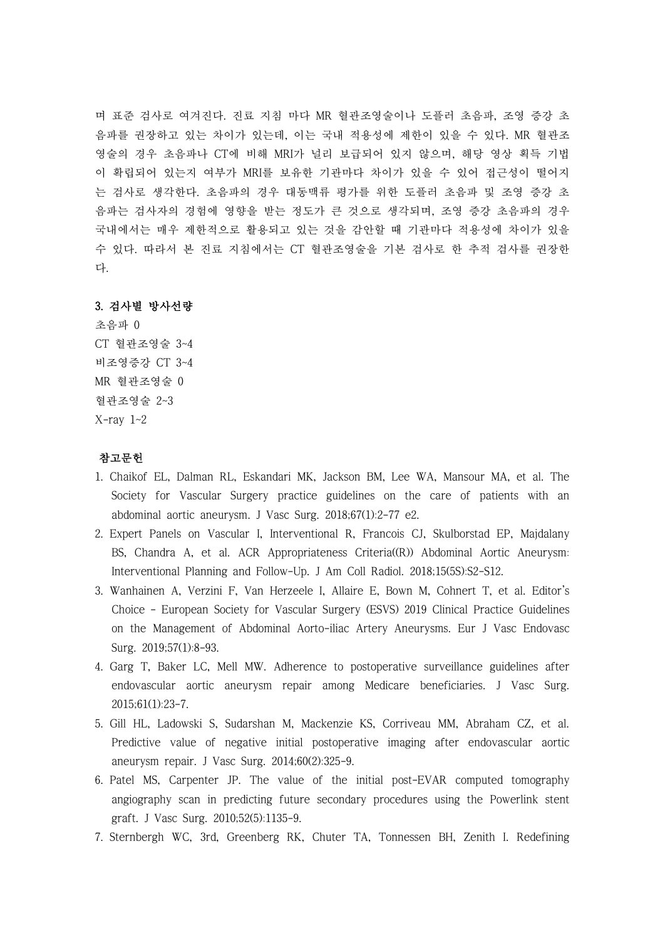며 표준 검사로 여겨진다. 진료 지침 마다 MR 혈관조영술이나 도플러 초음파, 조영 증강 초 음파를 권장하고 있는 차이가 있는데, 이는 국내 적용성에 제한이 있을 수 있다. MR 혈관조 영술의 경우 초음파나 CT에 비해 MRI가 널리 보급되어 있지 않으며, 해당 영상 획득 기법 이 확립되어 있는지 여부가 MRI를 보유한 기관마다 차이가 있을 수 있어 접근성이 떨어지 는 검사로 생각한다. 초음파의 경우 대동맥류 평가를 위한 도플러 초음파 및 조영 증강 초 음파는 검사자의 경험에 영향을 받는 정도가 큰 것으로 생각되며, 조영 증강 초음파의 경우 국내에서는 매우 제한적으로 활용되고 있는 것을 감안할 때 기관마다 적용성에 차이가 있을 수 있다. 따라서 본 진료 지침에서는 CT 혈관조영술을 기본 검사로 한 추적 검사를 권장한 다.

# 3. 검사별 방사선량

초음파 0 CT 혈관조영술 3~4 비조영증강 CT 3~4 MR 혈관조영술 0 혈관조영술 2~3 X-ray 1~2

# 참고문헌

- 1. Chaikof EL, Dalman RL, Eskandari MK, Jackson BM, Lee WA, Mansour MA, et al. The Society for Vascular Surgery practice guidelines on the care of patients with an abdominal aortic aneurysm. J Vasc Surg. 2018;67(1):2-77 e2.
- 2. Expert Panels on Vascular I, Interventional R, Francois CJ, Skulborstad EP, Majdalany BS, Chandra A, et al. ACR Appropriateness Criteria((R)) Abdominal Aortic Aneurysm: Interventional Planning and Follow-Up. J Am Coll Radiol. 2018;15(5S):S2-S12.
- 3. Wanhainen A, Verzini F, Van Herzeele I, Allaire E, Bown M, Cohnert T, et al. Editor's Choice - European Society for Vascular Surgery (ESVS) 2019 Clinical Practice Guidelines on the Management of Abdominal Aorto-iliac Artery Aneurysms. Eur J Vasc Endovasc Surg. 2019;57(1):8-93.
- 4. Garg T, Baker LC, Mell MW. Adherence to postoperative surveillance guidelines after endovascular aortic aneurysm repair among Medicare beneficiaries. J Vasc Surg. 2015;61(1):23-7.
- 5. Gill HL, Ladowski S, Sudarshan M, Mackenzie KS, Corriveau MM, Abraham CZ, et al. Predictive value of negative initial postoperative imaging after endovascular aortic aneurysm repair. J Vasc Surg. 2014;60(2):325-9.
- 6. Patel MS, Carpenter JP. The value of the initial post-EVAR computed tomography angiography scan in predicting future secondary procedures using the Powerlink stent graft. J Vasc Surg. 2010;52(5):1135-9.
- 7. Sternbergh WC, 3rd, Greenberg RK, Chuter TA, Tonnessen BH, Zenith I. Redefining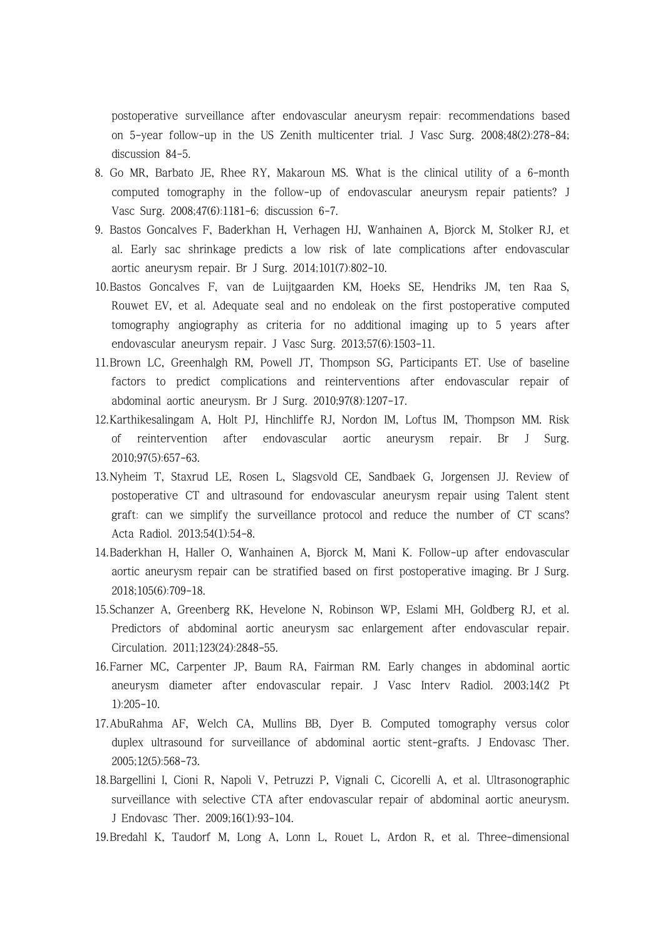postoperative surveillance after endovascular aneurysm repair: recommendations based on 5-year follow-up in the US Zenith multicenter trial. J Vasc Surg. 2008;48(2):278-84; discussion 84-5.

- 8. Go MR, Barbato JE, Rhee RY, Makaroun MS. What is the clinical utility of a 6-month computed tomography in the follow-up of endovascular aneurysm repair patients? J Vasc Surg. 2008;47(6):1181-6; discussion 6-7.
- 9. Bastos Goncalves F, Baderkhan H, Verhagen HJ, Wanhainen A, Bjorck M, Stolker RJ, et al. Early sac shrinkage predicts a low risk of late complications after endovascular aortic aneurysm repair. Br J Surg. 2014;101(7):802-10.
- 10.Bastos Goncalves F, van de Luijtgaarden KM, Hoeks SE, Hendriks JM, ten Raa S, Rouwet EV, et al. Adequate seal and no endoleak on the first postoperative computed tomography angiography as criteria for no additional imaging up to 5 years after endovascular aneurysm repair. J Vasc Surg. 2013;57(6):1503-11.
- 11.Brown LC, Greenhalgh RM, Powell JT, Thompson SG, Participants ET. Use of baseline factors to predict complications and reinterventions after endovascular repair of abdominal aortic aneurysm. Br J Surg. 2010;97(8):1207-17.
- 12.Karthikesalingam A, Holt PJ, Hinchliffe RJ, Nordon IM, Loftus IM, Thompson MM. Risk of reintervention after endovascular aortic aneurysm repair. Br J Surg. 2010;97(5):657-63.
- 13.Nyheim T, Staxrud LE, Rosen L, Slagsvold CE, Sandbaek G, Jorgensen JJ. Review of postoperative CT and ultrasound for endovascular aneurysm repair using Talent stent graft: can we simplify the surveillance protocol and reduce the number of CT scans? Acta Radiol. 2013;54(1):54-8.
- 14.Baderkhan H, Haller O, Wanhainen A, Bjorck M, Mani K. Follow-up after endovascular aortic aneurysm repair can be stratified based on first postoperative imaging. Br J Surg. 2018;105(6):709-18.
- 15.Schanzer A, Greenberg RK, Hevelone N, Robinson WP, Eslami MH, Goldberg RJ, et al. Predictors of abdominal aortic aneurysm sac enlargement after endovascular repair. Circulation. 2011;123(24):2848-55.
- 16.Farner MC, Carpenter JP, Baum RA, Fairman RM. Early changes in abdominal aortic aneurysm diameter after endovascular repair. J Vasc Interv Radiol. 2003;14(2 Pt 1):205-10.
- 17.AbuRahma AF, Welch CA, Mullins BB, Dyer B. Computed tomography versus color duplex ultrasound for surveillance of abdominal aortic stent-grafts. J Endovasc Ther. 2005;12(5):568-73.
- 18.Bargellini I, Cioni R, Napoli V, Petruzzi P, Vignali C, Cicorelli A, et al. Ultrasonographic surveillance with selective CTA after endovascular repair of abdominal aortic aneurysm. J Endovasc Ther. 2009;16(1):93-104.
- 19.Bredahl K, Taudorf M, Long A, Lonn L, Rouet L, Ardon R, et al. Three-dimensional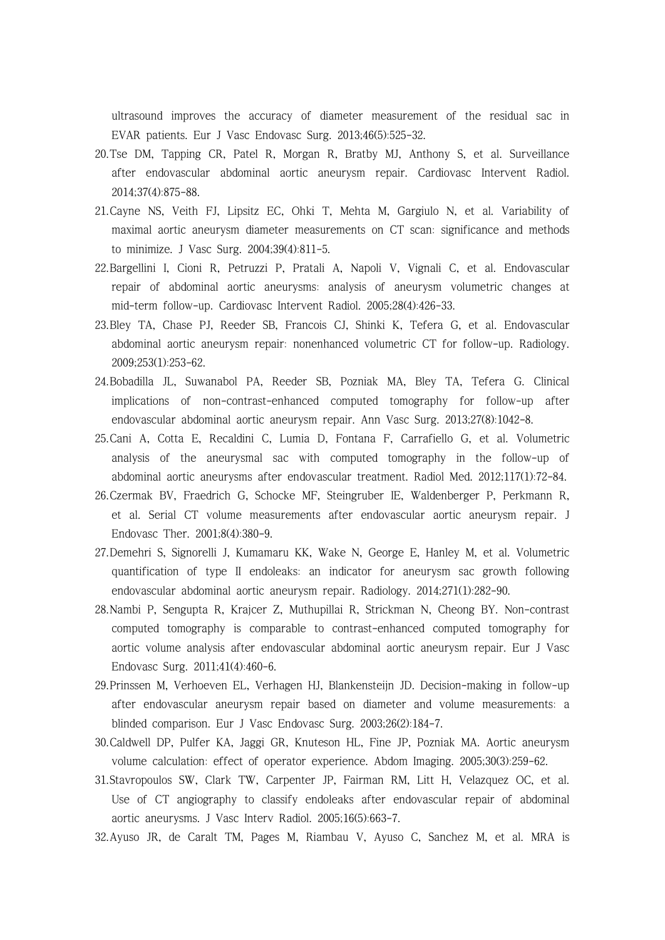ultrasound improves the accuracy of diameter measurement of the residual sac in EVAR patients. Eur J Vasc Endovasc Surg. 2013;46(5):525-32.

- 20.Tse DM, Tapping CR, Patel R, Morgan R, Bratby MJ, Anthony S, et al. Surveillance after endovascular abdominal aortic aneurysm repair. Cardiovasc Intervent Radiol. 2014;37(4):875-88.
- 21.Cayne NS, Veith FJ, Lipsitz EC, Ohki T, Mehta M, Gargiulo N, et al. Variability of maximal aortic aneurysm diameter measurements on CT scan: significance and methods to minimize. J Vasc Surg. 2004;39(4):811-5.
- 22.Bargellini I, Cioni R, Petruzzi P, Pratali A, Napoli V, Vignali C, et al. Endovascular repair of abdominal aortic aneurysms: analysis of aneurysm volumetric changes at mid-term follow-up. Cardiovasc Intervent Radiol. 2005;28(4):426-33.
- 23.Bley TA, Chase PJ, Reeder SB, Francois CJ, Shinki K, Tefera G, et al. Endovascular abdominal aortic aneurysm repair: nonenhanced volumetric CT for follow-up. Radiology. 2009;253(1):253-62.
- 24.Bobadilla JL, Suwanabol PA, Reeder SB, Pozniak MA, Bley TA, Tefera G. Clinical implications of non-contrast-enhanced computed tomography for follow-up after endovascular abdominal aortic aneurysm repair. Ann Vasc Surg. 2013;27(8):1042-8.
- 25.Cani A, Cotta E, Recaldini C, Lumia D, Fontana F, Carrafiello G, et al. Volumetric analysis of the aneurysmal sac with computed tomography in the follow-up of abdominal aortic aneurysms after endovascular treatment. Radiol Med. 2012;117(1):72-84.
- 26.Czermak BV, Fraedrich G, Schocke MF, Steingruber IE, Waldenberger P, Perkmann R, et al. Serial CT volume measurements after endovascular aortic aneurysm repair. J Endovasc Ther. 2001;8(4):380-9.
- 27.Demehri S, Signorelli J, Kumamaru KK, Wake N, George E, Hanley M, et al. Volumetric quantification of type II endoleaks: an indicator for aneurysm sac growth following endovascular abdominal aortic aneurysm repair. Radiology. 2014;271(1):282-90.
- 28.Nambi P, Sengupta R, Krajcer Z, Muthupillai R, Strickman N, Cheong BY. Non-contrast computed tomography is comparable to contrast-enhanced computed tomography for aortic volume analysis after endovascular abdominal aortic aneurysm repair. Eur J Vasc Endovasc Surg. 2011;41(4):460-6.
- 29.Prinssen M, Verhoeven EL, Verhagen HJ, Blankensteijn JD. Decision-making in follow-up after endovascular aneurysm repair based on diameter and volume measurements: a blinded comparison. Eur J Vasc Endovasc Surg. 2003;26(2):184-7.
- 30.Caldwell DP, Pulfer KA, Jaggi GR, Knuteson HL, Fine JP, Pozniak MA. Aortic aneurysm volume calculation: effect of operator experience. Abdom Imaging. 2005;30(3):259-62.
- 31.Stavropoulos SW, Clark TW, Carpenter JP, Fairman RM, Litt H, Velazquez OC, et al. Use of CT angiography to classify endoleaks after endovascular repair of abdominal aortic aneurysms. J Vasc Interv Radiol. 2005;16(5):663-7.
- 32.Ayuso JR, de Caralt TM, Pages M, Riambau V, Ayuso C, Sanchez M, et al. MRA is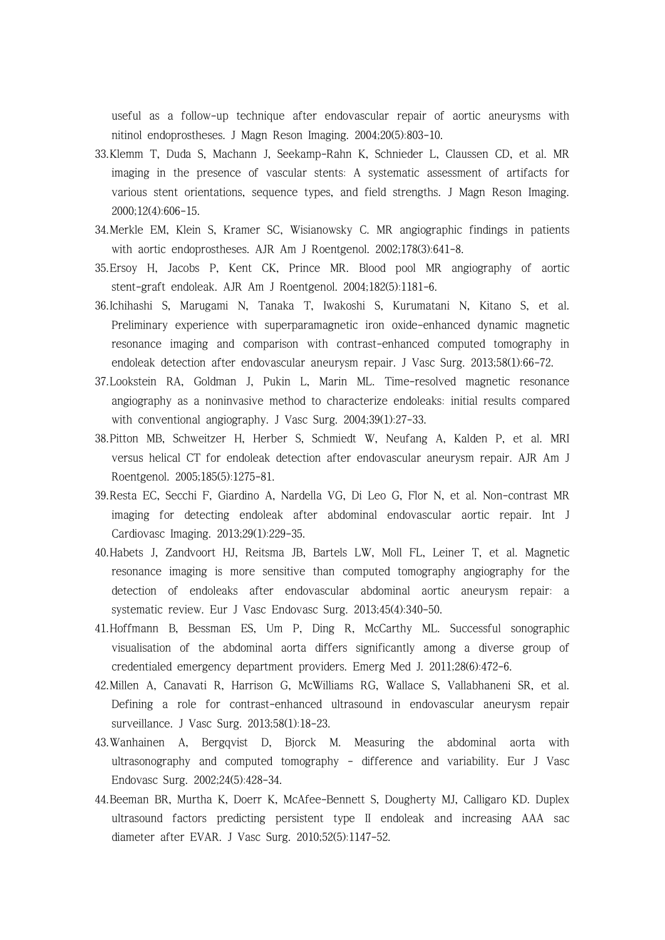useful as a follow-up technique after endovascular repair of aortic aneurysms with nitinol endoprostheses. J Magn Reson Imaging. 2004;20(5):803-10.

- 33.Klemm T, Duda S, Machann J, Seekamp-Rahn K, Schnieder L, Claussen CD, et al. MR imaging in the presence of vascular stents: A systematic assessment of artifacts for various stent orientations, sequence types, and field strengths. J Magn Reson Imaging. 2000;12(4):606-15.
- 34.Merkle EM, Klein S, Kramer SC, Wisianowsky C. MR angiographic findings in patients with aortic endoprostheses. AJR Am J Roentgenol. 2002;178(3):641-8.
- 35.Ersoy H, Jacobs P, Kent CK, Prince MR. Blood pool MR angiography of aortic stent-graft endoleak. AJR Am J Roentgenol. 2004;182(5):1181-6.
- 36.Ichihashi S, Marugami N, Tanaka T, Iwakoshi S, Kurumatani N, Kitano S, et al. Preliminary experience with superparamagnetic iron oxide-enhanced dynamic magnetic resonance imaging and comparison with contrast-enhanced computed tomography in endoleak detection after endovascular aneurysm repair. J Vasc Surg. 2013;58(1):66-72.
- 37.Lookstein RA, Goldman J, Pukin L, Marin ML. Time-resolved magnetic resonance angiography as a noninvasive method to characterize endoleaks: initial results compared with conventional angiography. J Vasc Surg. 2004;39(1):27-33.
- 38.Pitton MB, Schweitzer H, Herber S, Schmiedt W, Neufang A, Kalden P, et al. MRI versus helical CT for endoleak detection after endovascular aneurysm repair. AJR Am J Roentgenol. 2005;185(5):1275-81.
- 39.Resta EC, Secchi F, Giardino A, Nardella VG, Di Leo G, Flor N, et al. Non-contrast MR imaging for detecting endoleak after abdominal endovascular aortic repair. Int J Cardiovasc Imaging. 2013;29(1):229-35.
- 40.Habets J, Zandvoort HJ, Reitsma JB, Bartels LW, Moll FL, Leiner T, et al. Magnetic resonance imaging is more sensitive than computed tomography angiography for the detection of endoleaks after endovascular abdominal aortic aneurysm repair: a systematic review. Eur J Vasc Endovasc Surg. 2013;45(4):340-50.
- 41.Hoffmann B, Bessman ES, Um P, Ding R, McCarthy ML. Successful sonographic visualisation of the abdominal aorta differs significantly among a diverse group of credentialed emergency department providers. Emerg Med J. 2011;28(6):472-6.
- 42.Millen A, Canavati R, Harrison G, McWilliams RG, Wallace S, Vallabhaneni SR, et al. Defining a role for contrast-enhanced ultrasound in endovascular aneurysm repair surveillance. J Vasc Surg. 2013;58(1):18-23.
- 43.Wanhainen A, Bergqvist D, Bjorck M. Measuring the abdominal aorta with ultrasonography and computed tomography - difference and variability. Eur J Vasc Endovasc Surg. 2002;24(5):428-34.
- 44.Beeman BR, Murtha K, Doerr K, McAfee-Bennett S, Dougherty MJ, Calligaro KD. Duplex ultrasound factors predicting persistent type II endoleak and increasing AAA sac diameter after EVAR. J Vasc Surg. 2010;52(5):1147-52.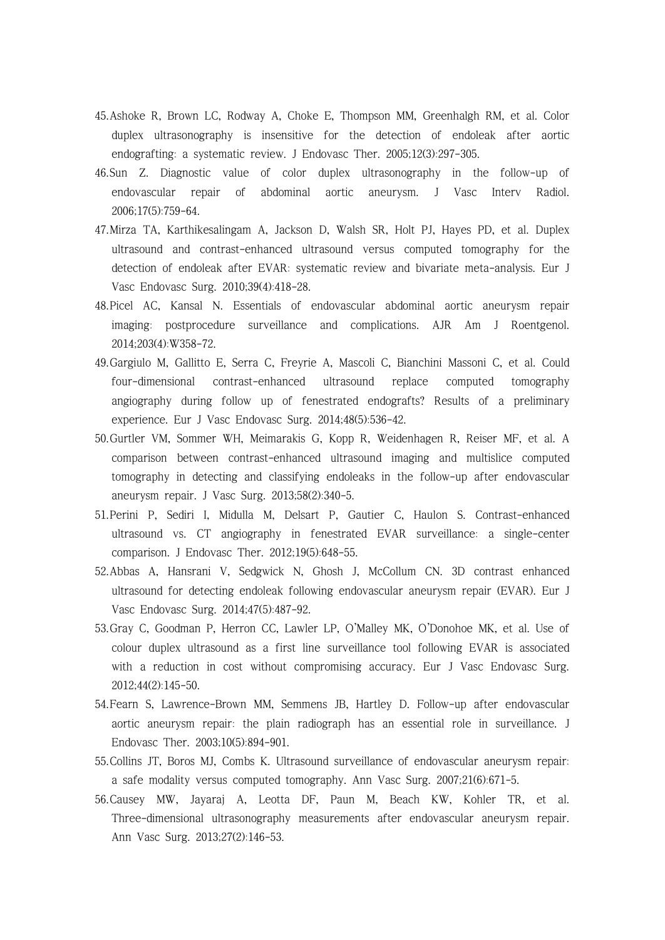- 45.Ashoke R, Brown LC, Rodway A, Choke E, Thompson MM, Greenhalgh RM, et al. Color duplex ultrasonography is insensitive for the detection of endoleak after aortic endografting: a systematic review. J Endovasc Ther. 2005;12(3):297-305.
- 46.Sun Z. Diagnostic value of color duplex ultrasonography in the follow-up of endovascular repair of abdominal aortic aneurysm. J Vasc Interv Radiol. 2006;17(5):759-64.
- 47.Mirza TA, Karthikesalingam A, Jackson D, Walsh SR, Holt PJ, Hayes PD, et al. Duplex ultrasound and contrast-enhanced ultrasound versus computed tomography for the detection of endoleak after EVAR: systematic review and bivariate meta-analysis. Eur J Vasc Endovasc Surg. 2010;39(4):418-28.
- 48.Picel AC, Kansal N. Essentials of endovascular abdominal aortic aneurysm repair imaging: postprocedure surveillance and complications. AJR Am J Roentgenol. 2014;203(4):W358-72.
- 49.Gargiulo M, Gallitto E, Serra C, Freyrie A, Mascoli C, Bianchini Massoni C, et al. Could four-dimensional contrast-enhanced ultrasound replace computed tomography angiography during follow up of fenestrated endografts? Results of a preliminary experience. Eur J Vasc Endovasc Surg. 2014;48(5):536-42.
- 50.Gurtler VM, Sommer WH, Meimarakis G, Kopp R, Weidenhagen R, Reiser MF, et al. A comparison between contrast-enhanced ultrasound imaging and multislice computed tomography in detecting and classifying endoleaks in the follow-up after endovascular aneurysm repair. J Vasc Surg. 2013;58(2):340-5.
- 51.Perini P, Sediri I, Midulla M, Delsart P, Gautier C, Haulon S. Contrast-enhanced ultrasound vs. CT angiography in fenestrated EVAR surveillance: a single-center comparison. J Endovasc Ther. 2012;19(5):648-55.
- 52.Abbas A, Hansrani V, Sedgwick N, Ghosh J, McCollum CN. 3D contrast enhanced ultrasound for detecting endoleak following endovascular aneurysm repair (EVAR). Eur J Vasc Endovasc Surg. 2014;47(5):487-92.
- 53.Gray C, Goodman P, Herron CC, Lawler LP, O'Malley MK, O'Donohoe MK, et al. Use of colour duplex ultrasound as a first line surveillance tool following EVAR is associated with a reduction in cost without compromising accuracy. Eur J Vasc Endovasc Surg. 2012;44(2):145-50.
- 54.Fearn S, Lawrence-Brown MM, Semmens JB, Hartley D. Follow-up after endovascular aortic aneurysm repair: the plain radiograph has an essential role in surveillance. J Endovasc Ther. 2003;10(5):894-901.
- 55.Collins JT, Boros MJ, Combs K. Ultrasound surveillance of endovascular aneurysm repair: a safe modality versus computed tomography. Ann Vasc Surg. 2007;21(6):671-5.
- 56.Causey MW, Jayaraj A, Leotta DF, Paun M, Beach KW, Kohler TR, et al. Three-dimensional ultrasonography measurements after endovascular aneurysm repair. Ann Vasc Surg. 2013;27(2):146-53.